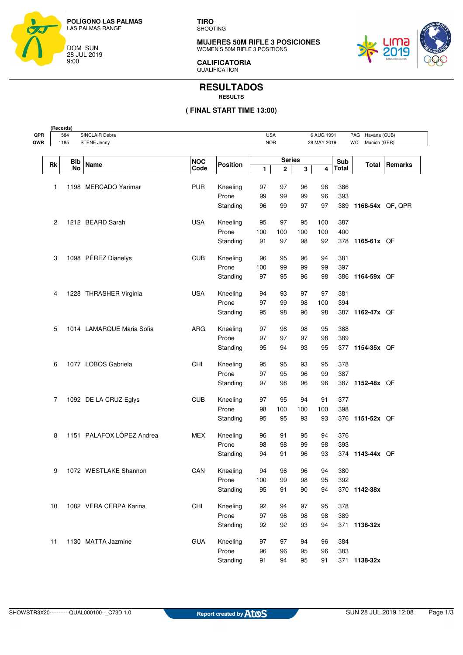

**(Records)**

**TIRO** SHOOTING

**MUJERES 50M RIFLE 3 POSICIONES** WOMEN'S 50M RIFLE 3 POSITIONS



**CALIFICATORIA QUALIFICATION** 

## **RESULTADOS RESULTS**

## **( FINAL START TIME 13:00)**

| SINCLAIR Debra<br>584<br>1185<br><b>STENE Jenny</b> |                  |                           |                    |                 | <b>USA</b><br>6 AUG 1991<br><b>NOR</b><br>28 MAY 2019 |                    |     | PAG Havana (CUB)<br>Munich (GER)<br>WC |              |                  |         |
|-----------------------------------------------------|------------------|---------------------------|--------------------|-----------------|-------------------------------------------------------|--------------------|-----|----------------------------------------|--------------|------------------|---------|
|                                                     |                  |                           |                    |                 |                                                       |                    |     |                                        |              |                  |         |
| Rk                                                  | Bib<br><b>No</b> | Name                      | <b>NOC</b><br>Code | <b>Position</b> | 1                                                     | <b>Series</b><br>2 | 3   | 4                                      | Sub<br>Total | Total            | Remarks |
|                                                     |                  |                           |                    |                 |                                                       |                    |     |                                        |              |                  |         |
| 1                                                   |                  | 1198 MERCADO Yarimar      | <b>PUR</b>         | Kneeling        | 97                                                    | 97                 | 96  | 96                                     | 386          |                  |         |
|                                                     |                  |                           |                    | Prone           | 99                                                    | 99                 | 99  | 96                                     | 393          |                  |         |
|                                                     |                  |                           |                    | Standing        | 96                                                    | 99                 | 97  | 97                                     | 389          | 1168-54x QF, QPR |         |
| 2                                                   |                  | 1212 BEARD Sarah          | <b>USA</b>         | Kneeling        | 95                                                    | 97                 | 95  | 100                                    | 387          |                  |         |
|                                                     |                  |                           |                    | Prone           | 100                                                   | 100                | 100 | 100                                    | 400          |                  |         |
|                                                     |                  |                           |                    | Standing        | 91                                                    | 97                 | 98  | 92                                     | 378          | 1165-61x QF      |         |
| 3                                                   |                  | 1098 PÉREZ Dianelys       | <b>CUB</b>         | Kneeling        | 96                                                    | 95                 | 96  | 94                                     | 381          |                  |         |
|                                                     |                  |                           |                    | Prone           | 100                                                   | 99                 | 99  | 99                                     | 397          |                  |         |
|                                                     |                  |                           |                    | Standing        | 97                                                    | 95                 | 96  | 98                                     | 386          | 1164-59x QF      |         |
| 4                                                   |                  | 1228 THRASHER Virginia    | <b>USA</b>         | Kneeling        | 94                                                    | 93                 | 97  | 97                                     | 381          |                  |         |
|                                                     |                  |                           |                    | Prone           | 97                                                    | 99                 | 98  | 100                                    | 394          |                  |         |
|                                                     |                  |                           |                    | Standing        | 95                                                    | 98                 | 96  | 98                                     | 387          | 1162-47x QF      |         |
| 5                                                   |                  | 1014 LAMARQUE Maria Sofia | <b>ARG</b>         | Kneeling        | 97                                                    | 98                 | 98  | 95                                     | 388          |                  |         |
|                                                     |                  |                           |                    | Prone           | 97                                                    | 97                 | 97  | 98                                     | 389          |                  |         |
|                                                     |                  |                           |                    | Standing        | 95                                                    | 94                 | 93  | 95                                     | 377          | 1154-35x QF      |         |
| 6                                                   |                  | 1077 LOBOS Gabriela       | CHI                | Kneeling        | 95                                                    | 95                 | 93  | 95                                     | 378          |                  |         |
|                                                     |                  |                           |                    | Prone           | 97                                                    | 95                 | 96  | 99                                     | 387          |                  |         |
|                                                     |                  |                           |                    | Standing        | 97                                                    | 98                 | 96  | 96                                     |              | 387 1152-48x QF  |         |
| 7                                                   |                  | 1092 DE LA CRUZ Eglys     | <b>CUB</b>         | Kneeling        | 97                                                    | 95                 | 94  | 91                                     | 377          |                  |         |
|                                                     |                  |                           |                    | Prone           | 98                                                    | 100                | 100 | 100                                    | 398          |                  |         |
|                                                     |                  |                           |                    | Standing        | 95                                                    | 95                 | 93  | 93                                     | 376          | 1151-52x QF      |         |
| 8                                                   |                  | 1151 PALAFOX LÓPEZ Andrea | <b>MEX</b>         | Kneeling        | 96                                                    | 91                 | 95  | 94                                     | 376          |                  |         |
|                                                     |                  |                           |                    | Prone           | 98                                                    | 98                 | 99  | 98                                     | 393          |                  |         |
|                                                     |                  |                           |                    | Standing        | 94                                                    | 91                 | 96  | 93                                     |              | 374 1143-44x QF  |         |
| 9                                                   |                  | 1072 WESTLAKE Shannon     | CAN                | Kneeling        | 94                                                    | 96                 | 96  | 94                                     | 380          |                  |         |
|                                                     |                  |                           |                    | Prone           | 100                                                   | 99                 | 98  | 95                                     | 392          |                  |         |
|                                                     |                  |                           |                    | Standing        | 95                                                    | 91                 | 90  | 94                                     |              | 370 1142-38x     |         |
| 10                                                  |                  | 1082 VERA CERPA Karina    | CHI                | Kneeling        | 92                                                    | 94                 | 97  | 95                                     | 378          |                  |         |
|                                                     |                  |                           |                    | Prone           | 97                                                    | 96                 | 98  | 98                                     | 389          |                  |         |
|                                                     |                  |                           |                    | Standing        | 92                                                    | 92                 | 93  | 94                                     |              | 371 1138-32x     |         |
| 11                                                  |                  | 1130 MATTA Jazmine        | <b>GUA</b>         | Kneeling        | 97                                                    | 97                 | 94  | 96                                     | 384          |                  |         |
|                                                     |                  |                           |                    | Prone           | 96                                                    | 96                 | 95  | 96                                     | 383          |                  |         |
|                                                     |                  |                           |                    | Standing        | 91                                                    | 94                 | 95  | 91                                     |              | 371 1138-32x     |         |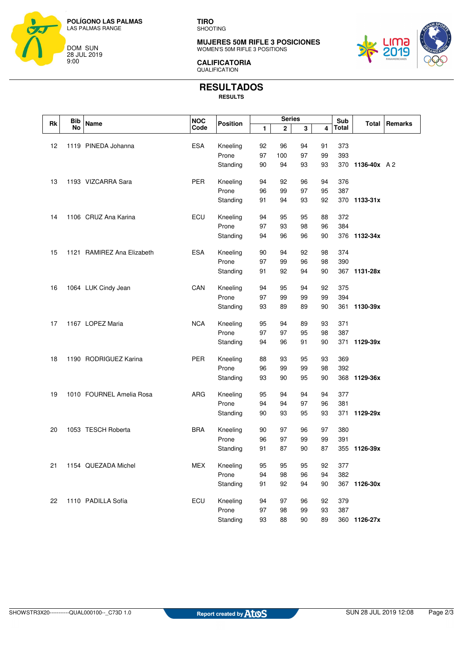

**TIRO** SHOOTING

**MUJERES 50M RIFLE 3 POSICIONES** WOMEN'S 50M RIFLE 3 POSITIONS



**CALIFICATORIA** QUALIFICATION

# **RESULTADOS**

**RESULTS**

| Rk | <b>Bib</b> | <b>Series</b><br><b>NOC</b><br>Name<br><b>Position</b> |            | Sub      |          | Total       | Remarks  |          |              |              |  |
|----|------------|--------------------------------------------------------|------------|----------|----------|-------------|----------|----------|--------------|--------------|--|
|    | No         |                                                        | Code       |          | 1        | $\mathbf 2$ | 3        | 4        | <b>Total</b> |              |  |
|    |            |                                                        |            |          |          |             |          |          |              |              |  |
| 12 |            | 1119 PINEDA Johanna                                    | <b>ESA</b> | Kneeling | 92       | 96          | 94       | 91       | 373          |              |  |
|    |            |                                                        |            | Prone    | 97       | 100         | 97       | 99       | 393          |              |  |
|    |            |                                                        |            | Standing | 90       | 94          | 93       | 93       | 370          | 1136-40x A 2 |  |
|    |            |                                                        |            |          |          |             |          |          |              |              |  |
| 13 |            | 1193 VIZCARRA Sara                                     | <b>PER</b> | Kneeling | 94       | 92          | 96       | 94       | 376          |              |  |
|    |            |                                                        |            | Prone    | 96<br>91 | 99<br>94    | 97<br>93 | 95<br>92 | 387          |              |  |
|    |            |                                                        |            | Standing |          |             |          |          |              | 370 1133-31x |  |
| 14 |            | 1106 CRUZ Ana Karina                                   | ECU        | Kneeling | 94       | 95          | 95       | 88       | 372          |              |  |
|    |            |                                                        |            | Prone    | 97       | 93          | 98       | 96       | 384          |              |  |
|    |            |                                                        |            | Standing | 94       | 96          | 96       | 90       |              | 376 1132-34x |  |
|    |            |                                                        |            |          |          |             |          |          |              |              |  |
| 15 |            | 1121 RAMIREZ Ana Elizabeth                             | <b>ESA</b> | Kneeling | 90       | 94          | 92       | 98       | 374          |              |  |
|    |            |                                                        |            | Prone    | 97       | 99          | 96       | 98       | 390          |              |  |
|    |            |                                                        |            | Standing | 91       | 92          | 94       | 90       |              | 367 1131-28x |  |
|    |            |                                                        |            |          |          |             |          |          |              |              |  |
| 16 |            | 1064 LUK Cindy Jean                                    | CAN        | Kneeling | 94       | 95          | 94       | 92       | 375          |              |  |
|    |            |                                                        |            | Prone    | 97       | 99          | 99       | 99       | 394          |              |  |
|    |            |                                                        |            | Standing | 93       | 89          | 89       | 90       | 361          | 1130-39x     |  |
| 17 |            | 1167 LOPEZ Maria                                       | <b>NCA</b> | Kneeling | 95       | 94          | 89       | 93       | 371          |              |  |
|    |            |                                                        |            | Prone    | 97       | 97          | 95       | 98       | 387          |              |  |
|    |            |                                                        |            | Standing | 94       | 96          | 91       | 90       | 371          | 1129-39x     |  |
|    |            |                                                        |            |          |          |             |          |          |              |              |  |
| 18 |            | 1190 RODRIGUEZ Karina                                  | <b>PER</b> | Kneeling | 88       | 93          | 95       | 93       | 369          |              |  |
|    |            |                                                        |            | Prone    | 96       | 99          | 99       | 98       | 392          |              |  |
|    |            |                                                        |            | Standing | 93       | 90          | 95       | 90       |              | 368 1129-36x |  |
|    |            |                                                        |            |          |          |             |          |          |              |              |  |
| 19 |            | 1010 FOURNEL Amelia Rosa                               | <b>ARG</b> | Kneeling | 95       | 94          | 94       | 94       | 377          |              |  |
|    |            |                                                        |            | Prone    | 94       | 94          | 97       | 96       | 381          |              |  |
|    |            |                                                        |            | Standing | 90       | 93          | 95       | 93       | 371          | 1129-29x     |  |
| 20 |            | 1053 TESCH Roberta                                     | <b>BRA</b> | Kneeling | 90       | 97          | 96       | 97       | 380          |              |  |
|    |            |                                                        |            | Prone    | 96       | 97          | 99       | 99       | 391          |              |  |
|    |            |                                                        |            | Standing | 91       | 87          | 90       | 87       |              | 355 1126-39x |  |
|    |            |                                                        |            |          |          |             |          |          |              |              |  |
| 21 |            | 1154 QUEZADA Michel                                    | <b>MEX</b> | Kneeling | 95       | 95          | 95       | 92       | 377          |              |  |
|    |            |                                                        |            | Prone    | 94       | 98          | 96       | 94       | 382          |              |  |
|    |            |                                                        |            | Standing | 91       | 92          | 94       | 90       |              | 367 1126-30x |  |
|    |            |                                                        |            |          |          |             |          |          |              |              |  |
| 22 |            | 1110 PADILLA Sofía                                     | ECU        | Kneeling | 94       | 97          | 96       | 92       | 379          |              |  |
|    |            |                                                        |            | Prone    | 97       | 98          | 99       | 93       | 387          |              |  |
|    |            |                                                        |            | Standing | 93       | 88          | 90       | 89       |              | 360 1126-27x |  |